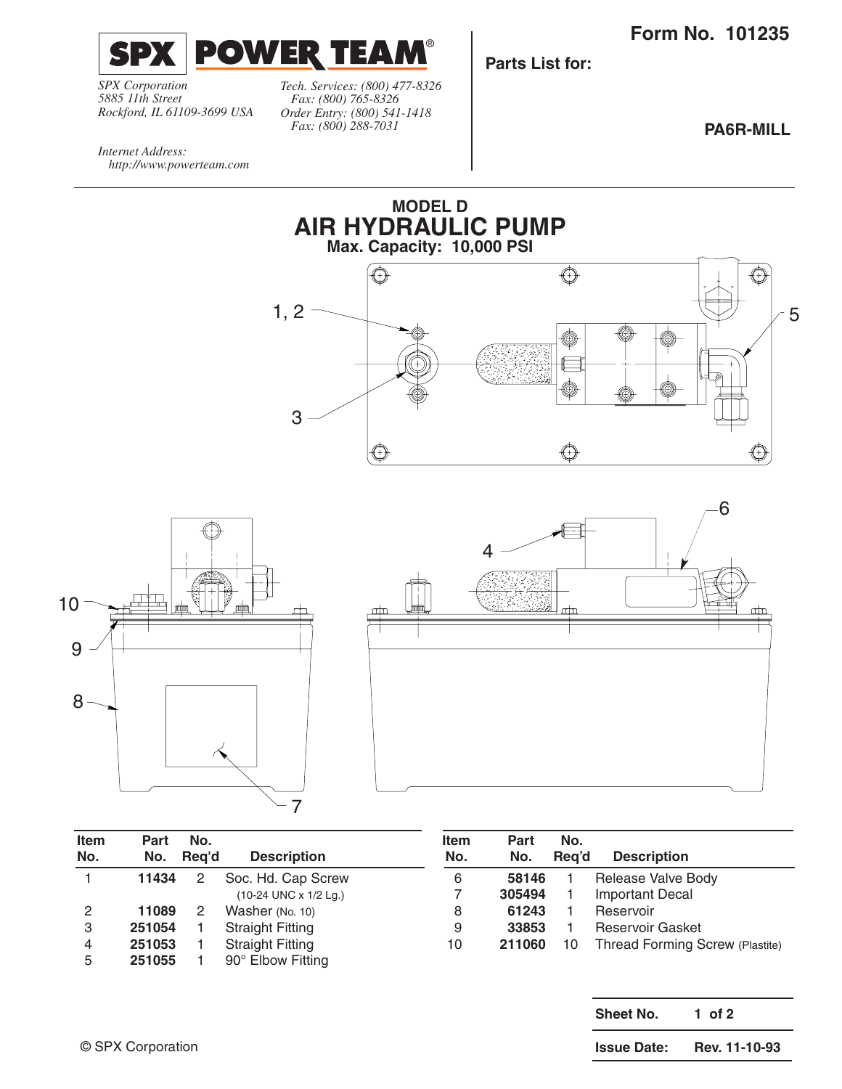**Form No. 101235**



*Tech. Services: (800) 477-8326 Fax: (800) 765-8326 Order Entry: (800) 541-1418 Rockford, IL 61109-3699 USA*

*Fax: (800) 288-7031*

®

**Parts List for:**

**PA6R-MILL**

*Internet Address: http://www.powerteam.com*

*SPX Corporation 5885 11th Street*





| Item<br>No. | Part<br>No. | No.<br>Rea'd | <b>Description</b>      | <b>Item</b><br>No. | Part<br>No. | No.<br>Rea'd | <b>Description</b>              |
|-------------|-------------|--------------|-------------------------|--------------------|-------------|--------------|---------------------------------|
|             | 11434       | 2            | Soc. Hd. Cap Screw      | 6                  | 58146       |              | Release Valve Body              |
|             |             |              | (10-24 UNC x 1/2 Lg.)   |                    | 305494      |              | <b>Important Decal</b>          |
| 2           | 11089       |              | Washer (No. 10)         | 8                  | 61243       |              | Reservoir                       |
| 3           | 251054      |              | <b>Straight Fitting</b> | 9                  | 33853       |              | <b>Reservoir Gasket</b>         |
| 4           | 251053      |              | <b>Straight Fitting</b> | 10                 | 211060      | 10           | Thread Forming Screw (Plastite) |
| 5           | 251055      |              | 90° Elbow Fitting       |                    |             |              |                                 |

| Sheet No.          | 1 of 2        |  |  |  |
|--------------------|---------------|--|--|--|
| <b>Issue Date:</b> | Rev. 11-10-93 |  |  |  |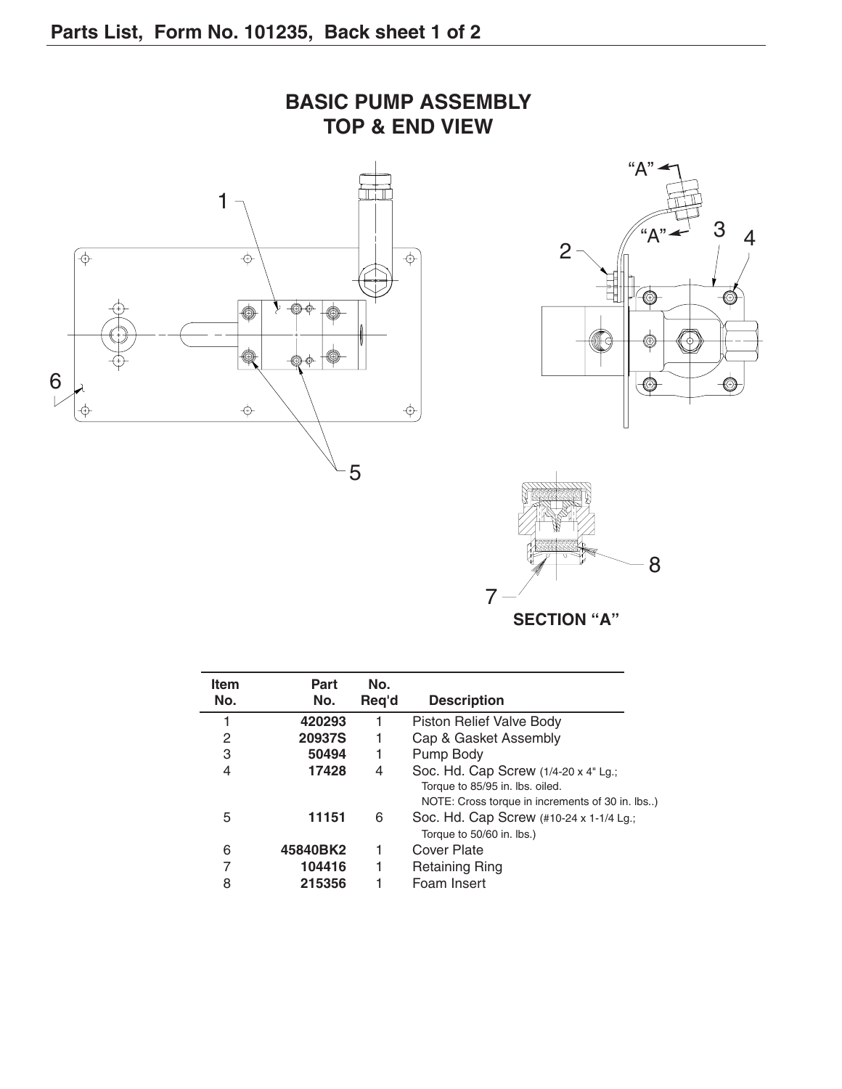





**SECTION "A"**

| <b>Item</b> | Part     | No.   |                                                                                    |
|-------------|----------|-------|------------------------------------------------------------------------------------|
| No.         | No.      | Req'd | <b>Description</b>                                                                 |
|             | 420293   | 1     | Piston Relief Valve Body                                                           |
| 2           | 20937S   | 1     | Cap & Gasket Assembly                                                              |
| 3           | 50494    | 1     | Pump Body                                                                          |
| 4           | 17428    | 4     | Soc. Hd. Cap Screw (1/4-20 x 4" Lg.;                                               |
|             |          |       | Torque to 85/95 in. lbs. oiled.<br>NOTE: Cross torque in increments of 30 in. lbs) |
| 5           | 11151    | 6     | Soc. Hd. Cap Screw (#10-24 x 1-1/4 Lg.;<br>Torque to 50/60 in. lbs.)               |
| 6           | 45840BK2 |       | Cover Plate                                                                        |
| 7           | 104416   | 1     | <b>Retaining Ring</b>                                                              |
| 8           | 215356   |       | Foam Insert                                                                        |

**BASIC PUMP ASSEMBLY TOP & END VIEW**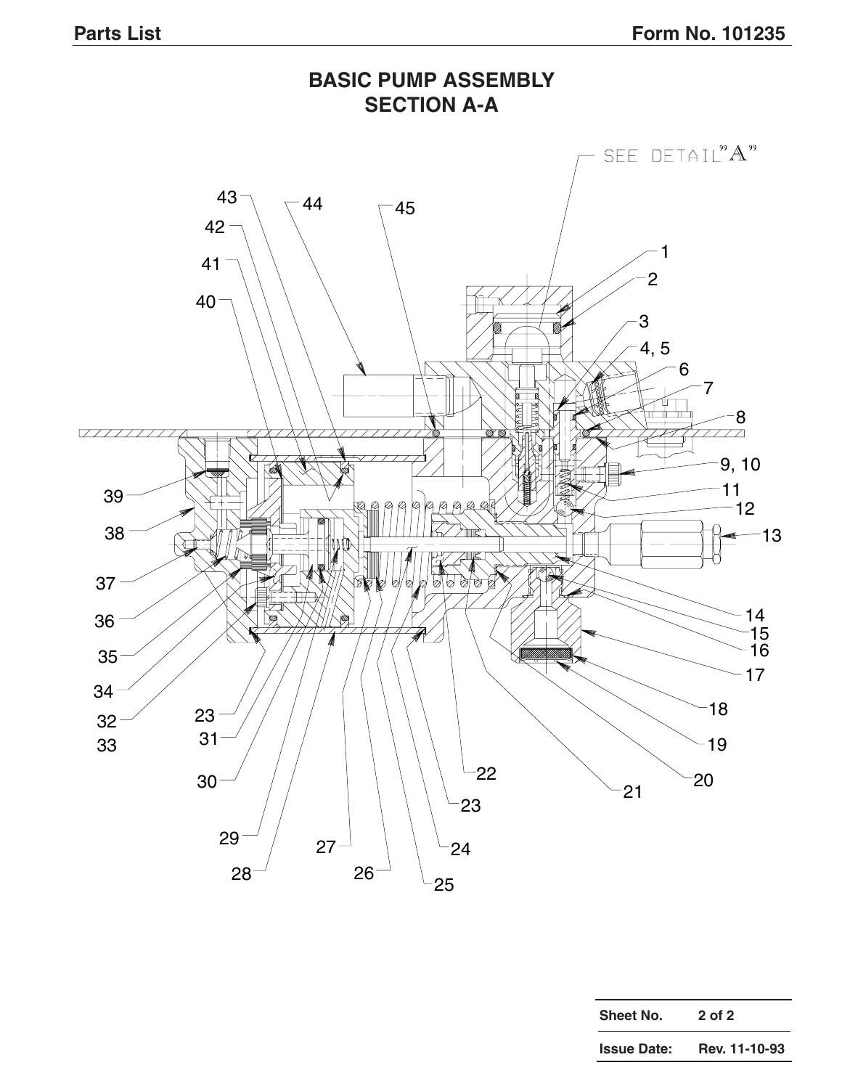

| Sheet No.          | 2 of 2        |  |  |  |
|--------------------|---------------|--|--|--|
| <b>Issue Date:</b> | Rev. 11-10-93 |  |  |  |